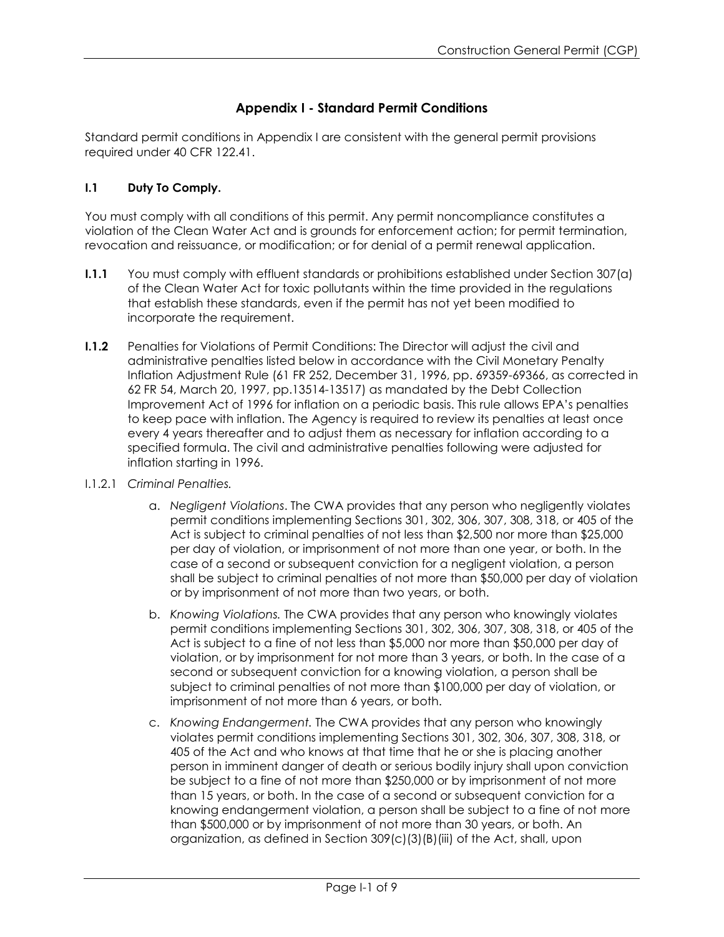# **Appendix I - Standard Permit Conditions**

Standard permit conditions in Appendix I are consistent with the general permit provisions required under 40 CFR 122.41.

### **I.1 Duty To Comply.**

You must comply with all conditions of this permit. Any permit noncompliance constitutes a violation of the Clean Water Act and is grounds for enforcement action; for permit termination, revocation and reissuance, or modification; or for denial of a permit renewal application.

- **I.1.1** You must comply with effluent standards or prohibitions established under Section 307(a) of the Clean Water Act for toxic pollutants within the time provided in the regulations that establish these standards, even if the permit has not yet been modified to incorporate the requirement.
- **I.1.2** Penalties for Violations of Permit Conditions: The Director will adjust the civil and administrative penalties listed below in accordance with the Civil Monetary Penalty Inflation Adjustment Rule (61 FR 252, December 31, 1996, pp. 69359-69366, as corrected in 62 FR 54, March 20, 1997, pp.13514-13517) as mandated by the Debt Collection Improvement Act of 1996 for inflation on a periodic basis. This rule allows EPA's penalties to keep pace with inflation. The Agency is required to review its penalties at least once every 4 years thereafter and to adjust them as necessary for inflation according to a specified formula. The civil and administrative penalties following were adjusted for inflation starting in 1996.
- I.1.2.1 *Criminal Penalties.*
	- a. *Negligent Violations*. The CWA provides that any person who negligently violates permit conditions implementing Sections 301, 302, 306, 307, 308, 318, or 405 of the Act is subject to criminal penalties of not less than \$2,500 nor more than \$25,000 per day of violation, or imprisonment of not more than one year, or both. In the case of a second or subsequent conviction for a negligent violation, a person shall be subject to criminal penalties of not more than \$50,000 per day of violation or by imprisonment of not more than two years, or both.
	- b. *Knowing Violations.* The CWA provides that any person who knowingly violates permit conditions implementing Sections 301, 302, 306, 307, 308, 318, or 405 of the Act is subject to a fine of not less than \$5,000 nor more than \$50,000 per day of violation, or by imprisonment for not more than 3 years, or both. In the case of a second or subsequent conviction for a knowing violation, a person shall be subject to criminal penalties of not more than \$100,000 per day of violation, or imprisonment of not more than 6 years, or both.
	- c. *Knowing Endangerment.* The CWA provides that any person who knowingly violates permit conditions implementing Sections 301, 302, 306, 307, 308, 318, or 405 of the Act and who knows at that time that he or she is placing another person in imminent danger of death or serious bodily injury shall upon conviction be subject to a fine of not more than \$250,000 or by imprisonment of not more than 15 years, or both. In the case of a second or subsequent conviction for a knowing endangerment violation, a person shall be subject to a fine of not more than \$500,000 or by imprisonment of not more than 30 years, or both. An organization, as defined in Section 309(c)(3)(B)(iii) of the Act, shall, upon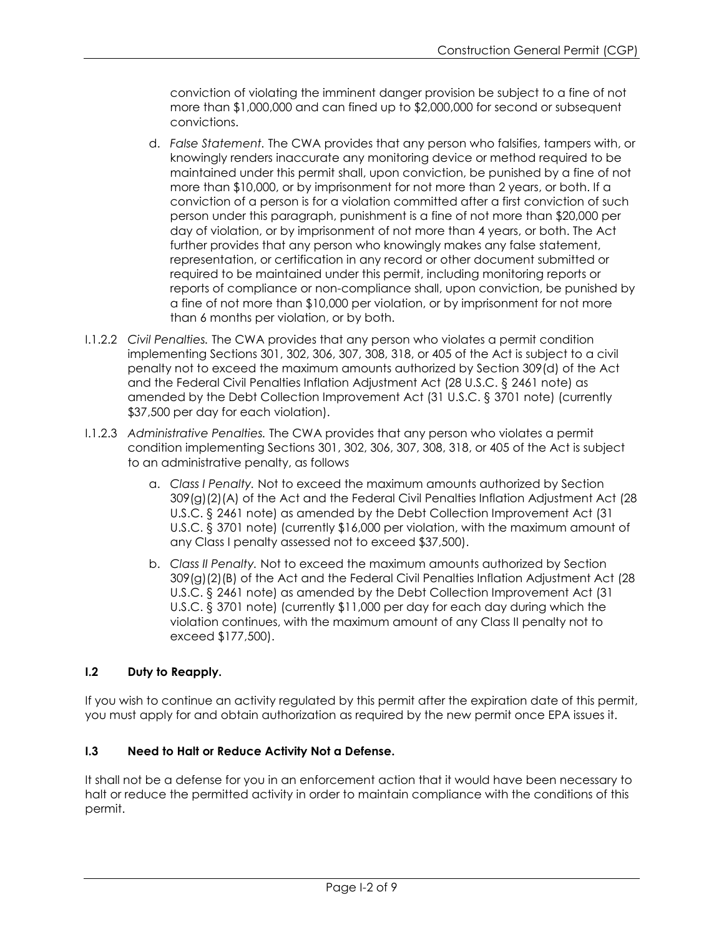conviction of violating the imminent danger provision be subject to a fine of not more than \$1,000,000 and can fined up to \$2,000,000 for second or subsequent convictions.

- d. *False Statement.* The CWA provides that any person who falsifies, tampers with, or knowingly renders inaccurate any monitoring device or method required to be maintained under this permit shall, upon conviction, be punished by a fine of not more than \$10,000, or by imprisonment for not more than 2 years, or both. If a conviction of a person is for a violation committed after a first conviction of such person under this paragraph, punishment is a fine of not more than \$20,000 per day of violation, or by imprisonment of not more than 4 years, or both. The Act further provides that any person who knowingly makes any false statement, representation, or certification in any record or other document submitted or required to be maintained under this permit, including monitoring reports or reports of compliance or non-compliance shall, upon conviction, be punished by a fine of not more than \$10,000 per violation, or by imprisonment for not more than 6 months per violation, or by both.
- I.1.2.2 *Civil Penalties.* The CWA provides that any person who violates a permit condition implementing Sections 301, 302, 306, 307, 308, 318, or 405 of the Act is subject to a civil penalty not to exceed the maximum amounts authorized by Section 309(d) of the Act and the Federal Civil Penalties Inflation Adjustment Act (28 U.S.C. § 2461 note) as amended by the Debt Collection Improvement Act (31 U.S.C. § 3701 note) (currently \$37,500 per day for each violation).
- I.1.2.3 *Administrative Penalties.* The CWA provides that any person who violates a permit condition implementing Sections 301, 302, 306, 307, 308, 318, or 405 of the Act is subject to an administrative penalty, as follows
	- a. *Class I Penalty.* Not to exceed the maximum amounts authorized by Section 309(g)(2)(A) of the Act and the Federal Civil Penalties Inflation Adjustment Act (28 U.S.C. § 2461 note) as amended by the Debt Collection Improvement Act (31 U.S.C. § 3701 note) (currently \$16,000 per violation, with the maximum amount of any Class I penalty assessed not to exceed \$37,500).
	- b. *Class II Penalty.* Not to exceed the maximum amounts authorized by Section 309(g)(2)(B) of the Act and the Federal Civil Penalties Inflation Adjustment Act (28 U.S.C. § 2461 note) as amended by the Debt Collection Improvement Act (31 U.S.C. § 3701 note) (currently \$11,000 per day for each day during which the violation continues, with the maximum amount of any Class II penalty not to exceed \$177,500).

# **I.2 Duty to Reapply.**

If you wish to continue an activity regulated by this permit after the expiration date of this permit, you must apply for and obtain authorization as required by the new permit once EPA issues it.

# **I.3 Need to Halt or Reduce Activity Not a Defense.**

It shall not be a defense for you in an enforcement action that it would have been necessary to halt or reduce the permitted activity in order to maintain compliance with the conditions of this permit.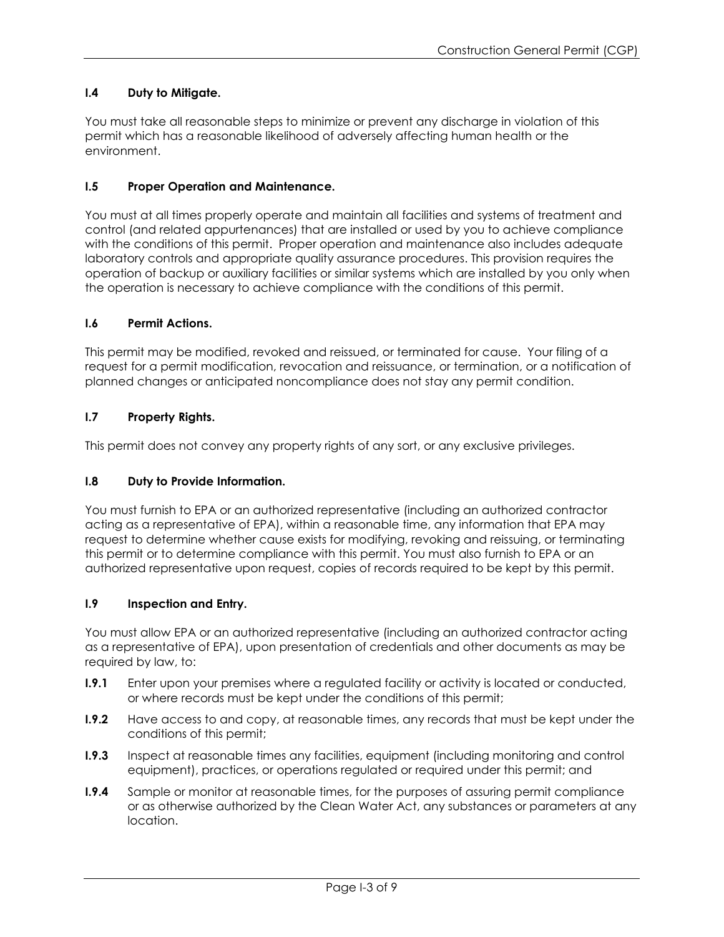# **I.4 Duty to Mitigate.**

You must take all reasonable steps to minimize or prevent any discharge in violation of this permit which has a reasonable likelihood of adversely affecting human health or the environment.

# **I.5 Proper Operation and Maintenance.**

You must at all times properly operate and maintain all facilities and systems of treatment and control (and related appurtenances) that are installed or used by you to achieve compliance with the conditions of this permit. Proper operation and maintenance also includes adequate laboratory controls and appropriate quality assurance procedures. This provision requires the operation of backup or auxiliary facilities or similar systems which are installed by you only when the operation is necessary to achieve compliance with the conditions of this permit.

### **I.6 Permit Actions.**

This permit may be modified, revoked and reissued, or terminated for cause. Your filing of a request for a permit modification, revocation and reissuance, or termination, or a notification of planned changes or anticipated noncompliance does not stay any permit condition.

# **I.7 Property Rights.**

This permit does not convey any property rights of any sort, or any exclusive privileges.

#### **I.8 Duty to Provide Information.**

You must furnish to EPA or an authorized representative (including an authorized contractor acting as a representative of EPA), within a reasonable time, any information that EPA may request to determine whether cause exists for modifying, revoking and reissuing, or terminating this permit or to determine compliance with this permit. You must also furnish to EPA or an authorized representative upon request, copies of records required to be kept by this permit.

#### **I.9 Inspection and Entry.**

You must allow EPA or an authorized representative (including an authorized contractor acting as a representative of EPA), upon presentation of credentials and other documents as may be required by law, to:

- **I.9.1** Enter upon your premises where a regulated facility or activity is located or conducted, or where records must be kept under the conditions of this permit;
- **I.9.2** Have access to and copy, at reasonable times, any records that must be kept under the conditions of this permit;
- **I.9.3** Inspect at reasonable times any facilities, equipment (including monitoring and control equipment), practices, or operations regulated or required under this permit; and
- **I.9.4** Sample or monitor at reasonable times, for the purposes of assuring permit compliance or as otherwise authorized by the Clean Water Act, any substances or parameters at any location.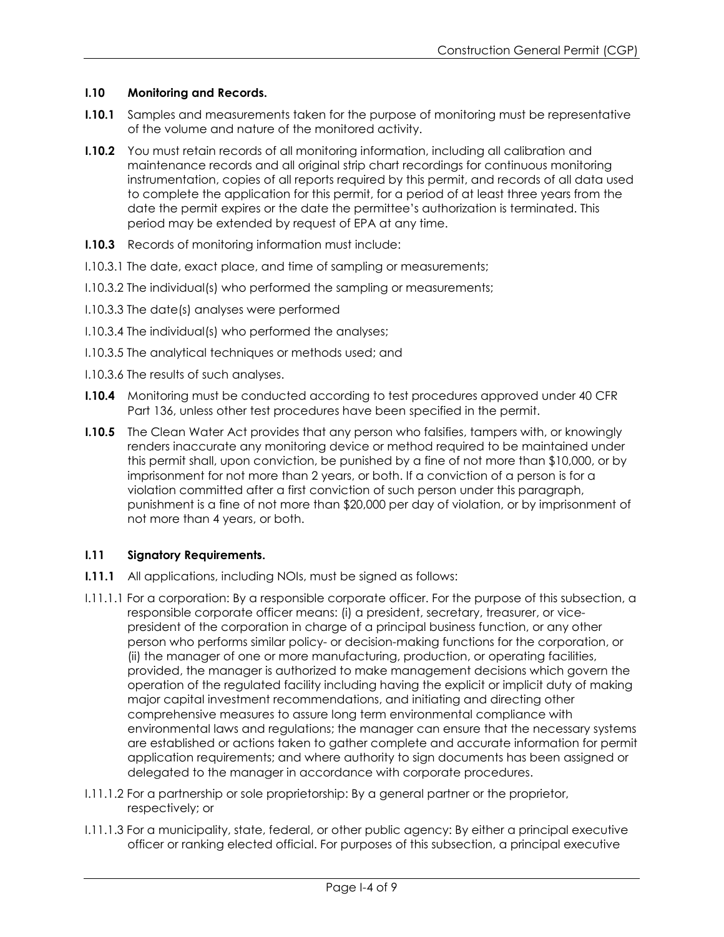### **I.10 Monitoring and Records.**

- **I.10.1** Samples and measurements taken for the purpose of monitoring must be representative of the volume and nature of the monitored activity.
- **I.10.2** You must retain records of all monitoring information, including all calibration and maintenance records and all original strip chart recordings for continuous monitoring instrumentation, copies of all reports required by this permit, and records of all data used to complete the application for this permit, for a period of at least three years from the date the permit expires or the date the permittee's authorization is terminated. This period may be extended by request of EPA at any time.
- **I.10.3** Records of monitoring information must include:
- I.10.3.1 The date, exact place, and time of sampling or measurements;
- I.10.3.2 The individual(s) who performed the sampling or measurements;
- I.10.3.3 The date(s) analyses were performed
- I.10.3.4 The individual(s) who performed the analyses;
- I.10.3.5 The analytical techniques or methods used; and
- I.10.3.6 The results of such analyses.
- **I.10.4** Monitoring must be conducted according to test procedures approved under 40 CFR Part 136, unless other test procedures have been specified in the permit.
- **I.10.5** The Clean Water Act provides that any person who falsifies, tampers with, or knowingly renders inaccurate any monitoring device or method required to be maintained under this permit shall, upon conviction, be punished by a fine of not more than \$10,000, or by imprisonment for not more than 2 years, or both. If a conviction of a person is for a violation committed after a first conviction of such person under this paragraph, punishment is a fine of not more than \$20,000 per day of violation, or by imprisonment of not more than 4 years, or both.

# **I.11 Signatory Requirements.**

- **I.11.1** All applications, including NOIs, must be signed as follows:
- I.11.1.1 For a corporation: By a responsible corporate officer. For the purpose of this subsection, a responsible corporate officer means: (i) a president, secretary, treasurer, or vicepresident of the corporation in charge of a principal business function, or any other person who performs similar policy- or decision-making functions for the corporation, or (ii) the manager of one or more manufacturing, production, or operating facilities, provided, the manager is authorized to make management decisions which govern the operation of the regulated facility including having the explicit or implicit duty of making major capital investment recommendations, and initiating and directing other comprehensive measures to assure long term environmental compliance with environmental laws and regulations; the manager can ensure that the necessary systems are established or actions taken to gather complete and accurate information for permit application requirements; and where authority to sign documents has been assigned or delegated to the manager in accordance with corporate procedures.
- I.11.1.2 For a partnership or sole proprietorship: By a general partner or the proprietor, respectively; or
- I.11.1.3 For a municipality, state, federal, or other public agency: By either a principal executive officer or ranking elected official. For purposes of this subsection, a principal executive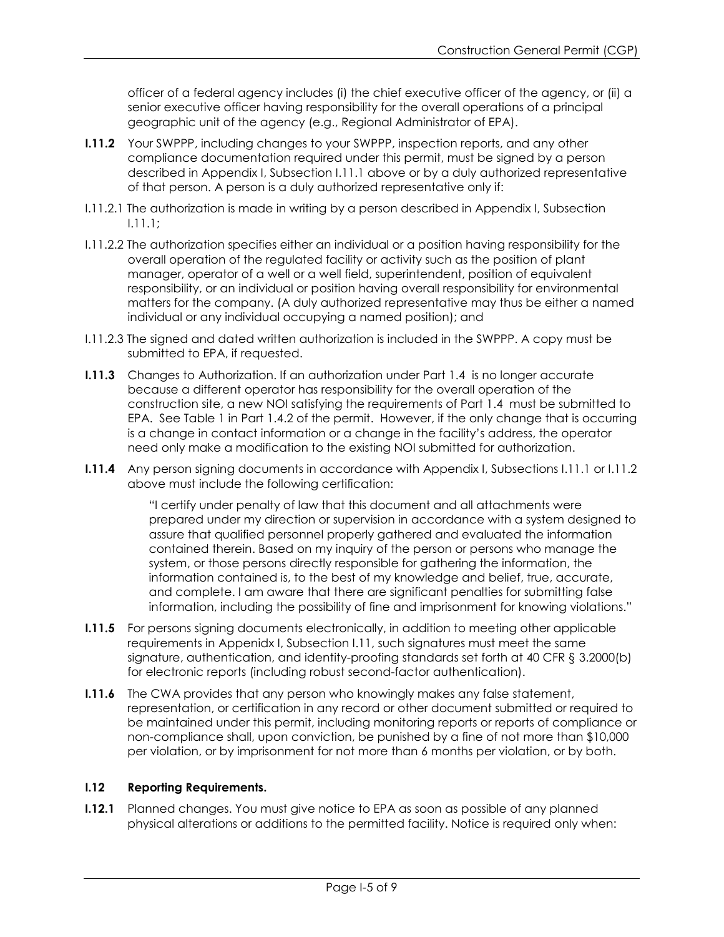officer of a federal agency includes (i) the chief executive officer of the agency, or (ii) a senior executive officer having responsibility for the overall operations of a principal geographic unit of the agency (e.g., Regional Administrator of EPA).

- **I.11.2** Your SWPPP, including changes to your SWPPP, inspection reports, and any other compliance documentation required under this permit, must be signed by a person described in Appendix I, Subsection I.11.1 above or by a duly authorized representative of that person. A person is a duly authorized representative only if:
- I.11.2.1 The authorization is made in writing by a person described in Appendix I, Subsection I.11.1;
- I.11.2.2 The authorization specifies either an individual or a position having responsibility for the overall operation of the regulated facility or activity such as the position of plant manager, operator of a well or a well field, superintendent, position of equivalent responsibility, or an individual or position having overall responsibility for environmental matters for the company. (A duly authorized representative may thus be either a named individual or any individual occupying a named position); and
- I.11.2.3 The signed and dated written authorization is included in the SWPPP. A copy must be submitted to EPA, if requested.
- **I.11.3** Changes to Authorization. If an authorization under Part 1.4 is no longer accurate because a different operator has responsibility for the overall operation of the construction site, a new NOI satisfying the requirements of Part 1.4 must be submitted to EPA. See Table 1 in Part 1.4.2 of the permit. However, if the only change that is occurring is a change in contact information or a change in the facility's address, the operator need only make a modification to the existing NOI submitted for authorization.
- **I.11.4** Any person signing documents in accordance with Appendix I, Subsections I.11.1 or I.11.2 above must include the following certification:

"I certify under penalty of law that this document and all attachments were prepared under my direction or supervision in accordance with a system designed to assure that qualified personnel properly gathered and evaluated the information contained therein. Based on my inquiry of the person or persons who manage the system, or those persons directly responsible for gathering the information, the information contained is, to the best of my knowledge and belief, true, accurate, and complete. I am aware that there are significant penalties for submitting false information, including the possibility of fine and imprisonment for knowing violations."

- **I.11.5** For persons signing documents electronically, in addition to meeting other applicable requirements in Appenidx I, Subsection I.11, such signatures must meet the same signature, authentication, and identity-proofing standards set forth at 40 CFR § 3.2000(b) for electronic reports (including robust second-factor authentication).
- **I.11.6** The CWA provides that any person who knowingly makes any false statement, representation, or certification in any record or other document submitted or required to be maintained under this permit, including monitoring reports or reports of compliance or non-compliance shall, upon conviction, be punished by a fine of not more than \$10,000 per violation, or by imprisonment for not more than 6 months per violation, or by both.

### **I.12 Reporting Requirements.**

**I.12.1** Planned changes. You must give notice to EPA as soon as possible of any planned physical alterations or additions to the permitted facility. Notice is required only when: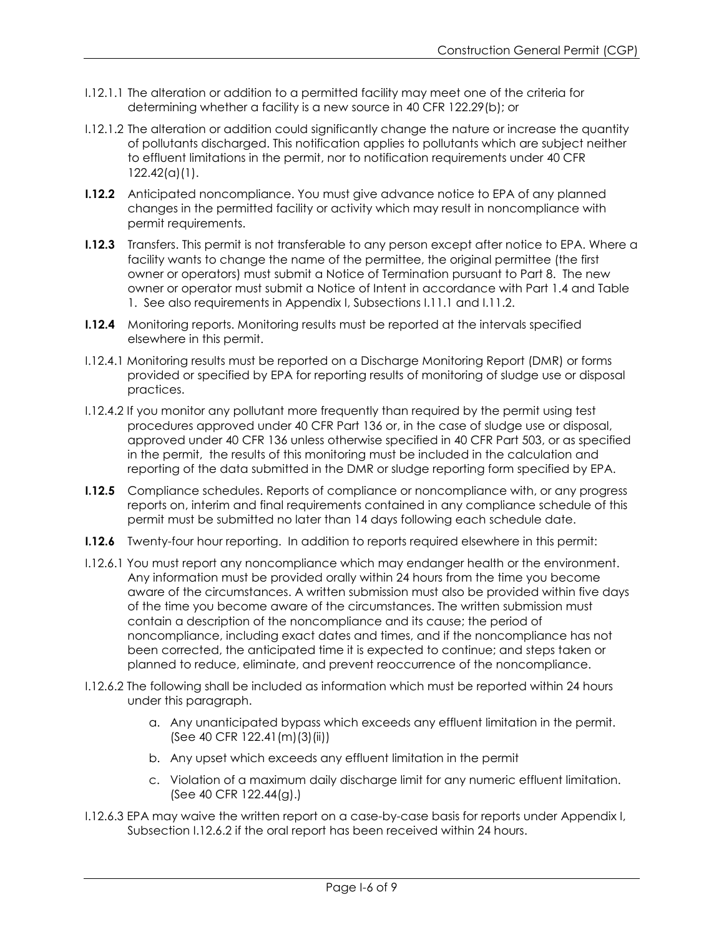- I.12.1.1 The alteration or addition to a permitted facility may meet one of the criteria for determining whether a facility is a new source in 40 CFR 122.29(b); or
- I.12.1.2 The alteration or addition could significantly change the nature or increase the quantity of pollutants discharged. This notification applies to pollutants which are subject neither to effluent limitations in the permit, nor to notification requirements under 40 CFR 122.42(a)(1).
- **I.12.2** Anticipated noncompliance. You must give advance notice to EPA of any planned changes in the permitted facility or activity which may result in noncompliance with permit requirements.
- **I.12.3** Transfers. This permit is not transferable to any person except after notice to EPA. Where a facility wants to change the name of the permittee, the original permittee (the first owner or operators) must submit a Notice of Termination pursuant to Part 8. The new owner or operator must submit a Notice of Intent in accordance with Part 1.4 and Table 1. See also requirements in Appendix I, Subsections I.11.1 and I.11.2.
- **I.12.4** Monitoring reports. Monitoring results must be reported at the intervals specified elsewhere in this permit.
- I.12.4.1 Monitoring results must be reported on a Discharge Monitoring Report (DMR) or forms provided or specified by EPA for reporting results of monitoring of sludge use or disposal practices.
- I.12.4.2 If you monitor any pollutant more frequently than required by the permit using test procedures approved under 40 CFR Part 136 or, in the case of sludge use or disposal, approved under 40 CFR 136 unless otherwise specified in 40 CFR Part 503, or as specified in the permit, the results of this monitoring must be included in the calculation and reporting of the data submitted in the DMR or sludge reporting form specified by EPA.
- **I.12.5** Compliance schedules. Reports of compliance or noncompliance with, or any progress reports on, interim and final requirements contained in any compliance schedule of this permit must be submitted no later than 14 days following each schedule date.
- **I.12.6** Twenty-four hour reporting. In addition to reports required elsewhere in this permit:
- I.12.6.1 You must report any noncompliance which may endanger health or the environment. Any information must be provided orally within 24 hours from the time you become aware of the circumstances. A written submission must also be provided within five days of the time you become aware of the circumstances. The written submission must contain a description of the noncompliance and its cause; the period of noncompliance, including exact dates and times, and if the noncompliance has not been corrected, the anticipated time it is expected to continue; and steps taken or planned to reduce, eliminate, and prevent reoccurrence of the noncompliance.
- I.12.6.2 The following shall be included as information which must be reported within 24 hours under this paragraph.
	- a. Any unanticipated bypass which exceeds any effluent limitation in the permit. (See 40 CFR 122.41(m)(3)(ii))
	- b. Any upset which exceeds any effluent limitation in the permit
	- c. Violation of a maximum daily discharge limit for any numeric effluent limitation. (See 40 CFR 122.44(g).)
- I.12.6.3 EPA may waive the written report on a case-by-case basis for reports under Appendix I, Subsection I.12.6.2 if the oral report has been received within 24 hours.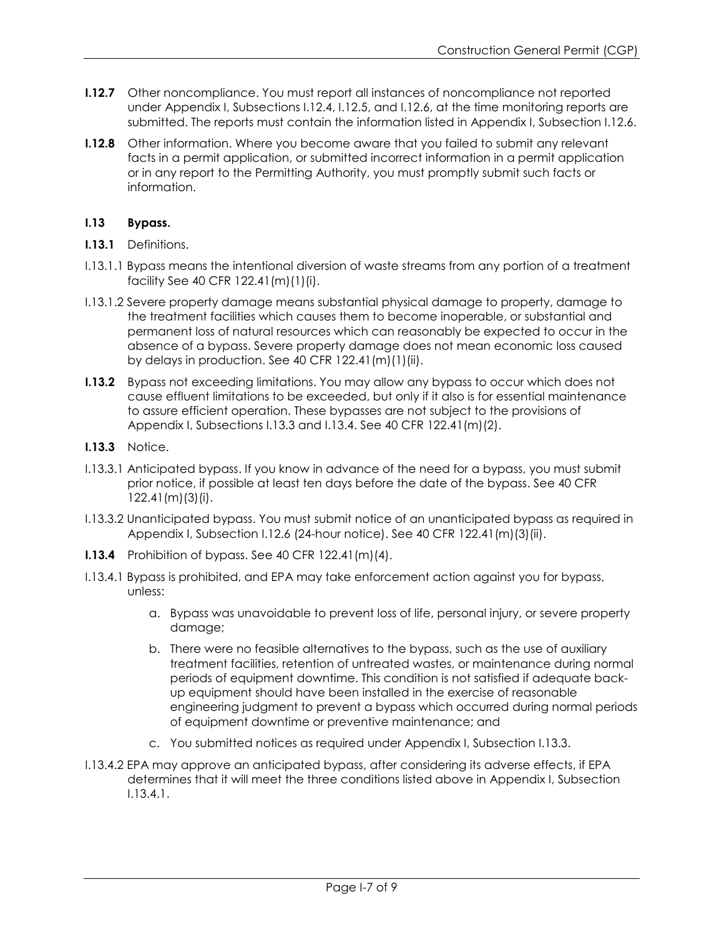- **I.12.7** Other noncompliance. You must report all instances of noncompliance not reported under Appendix I, Subsections I.12.4, I.12.5, and I.12.6, at the time monitoring reports are submitted. The reports must contain the information listed in Appendix I, Subsection I.12.6.
- **I.12.8** Other information. Where you become aware that you failed to submit any relevant facts in a permit application, or submitted incorrect information in a permit application or in any report to the Permitting Authority, you must promptly submit such facts or information.

### **I.13 Bypass.**

- **I.13.1** Definitions.
- I.13.1.1 Bypass means the intentional diversion of waste streams from any portion of a treatment facility See 40 CFR 122.41(m)(1)(i).
- I.13.1.2 Severe property damage means substantial physical damage to property, damage to the treatment facilities which causes them to become inoperable, or substantial and permanent loss of natural resources which can reasonably be expected to occur in the absence of a bypass. Severe property damage does not mean economic loss caused by delays in production. See 40 CFR 122.41(m)(1)(ii).
- **I.13.2** Bypass not exceeding limitations. You may allow any bypass to occur which does not cause effluent limitations to be exceeded, but only if it also is for essential maintenance to assure efficient operation. These bypasses are not subject to the provisions of Appendix I, Subsections I.13.3 and I.13.4. See 40 CFR 122.41(m)(2).
- **I.13.3** Notice.
- I.13.3.1 Anticipated bypass. If you know in advance of the need for a bypass, you must submit prior notice, if possible at least ten days before the date of the bypass. See 40 CFR 122.41(m)(3)(i).
- I.13.3.2 Unanticipated bypass. You must submit notice of an unanticipated bypass as required in Appendix I, Subsection I.12.6 (24-hour notice). See 40 CFR 122.41(m)(3)(ii).
- **I.13.4** Prohibition of bypass. See 40 CFR 122.41(m)(4).
- I.13.4.1 Bypass is prohibited, and EPA may take enforcement action against you for bypass, unless:
	- a. Bypass was unavoidable to prevent loss of life, personal injury, or severe property damage;
	- b. There were no feasible alternatives to the bypass, such as the use of auxiliary treatment facilities, retention of untreated wastes, or maintenance during normal periods of equipment downtime. This condition is not satisfied if adequate backup equipment should have been installed in the exercise of reasonable engineering judgment to prevent a bypass which occurred during normal periods of equipment downtime or preventive maintenance; and
	- c. You submitted notices as required under Appendix I, Subsection I.13.3.
- I.13.4.2 EPA may approve an anticipated bypass, after considering its adverse effects, if EPA determines that it will meet the three conditions listed above in Appendix I, Subsection I.13.4.1.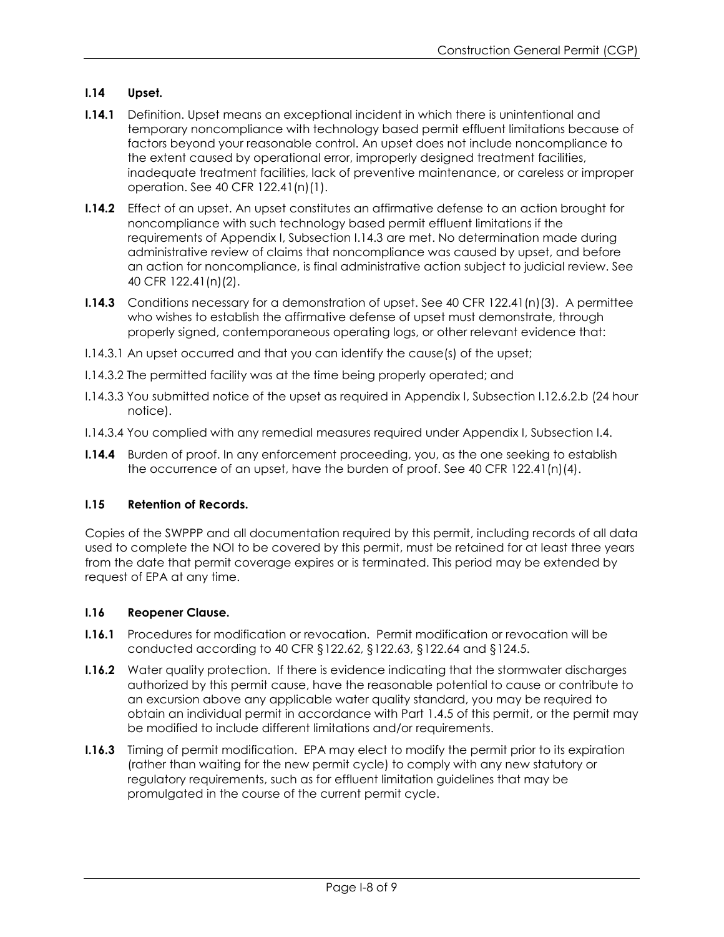# **I.14 Upset.**

- **I.14.1** Definition. Upset means an exceptional incident in which there is unintentional and temporary noncompliance with technology based permit effluent limitations because of factors beyond your reasonable control. An upset does not include noncompliance to the extent caused by operational error, improperly designed treatment facilities, inadequate treatment facilities, lack of preventive maintenance, or careless or improper operation. See 40 CFR 122.41(n)(1).
- **I.14.2** Effect of an upset. An upset constitutes an affirmative defense to an action brought for noncompliance with such technology based permit effluent limitations if the requirements of Appendix I, Subsection I.14.3 are met. No determination made during administrative review of claims that noncompliance was caused by upset, and before an action for noncompliance, is final administrative action subject to judicial review. See 40 CFR 122.41(n)(2).
- **I.14.3** Conditions necessary for a demonstration of upset. See 40 CFR 122.41(n)(3). A permittee who wishes to establish the affirmative defense of upset must demonstrate, through properly signed, contemporaneous operating logs, or other relevant evidence that:
- I.14.3.1 An upset occurred and that you can identify the cause(s) of the upset;
- I.14.3.2 The permitted facility was at the time being properly operated; and
- I.14.3.3 You submitted notice of the upset as required in Appendix I, Subsection I.12.6.2.b (24 hour notice).
- I.14.3.4 You complied with any remedial measures required under Appendix I, Subsection I.4.
- **I.14.4** Burden of proof. In any enforcement proceeding, you, as the one seeking to establish the occurrence of an upset, have the burden of proof. See 40 CFR  $122.41(n)(4)$ .

# **I.15 Retention of Records.**

Copies of the SWPPP and all documentation required by this permit, including records of all data used to complete the NOI to be covered by this permit, must be retained for at least three years from the date that permit coverage expires or is terminated. This period may be extended by request of EPA at any time.

#### **I.16 Reopener Clause.**

- **I.16.1** Procedures for modification or revocation. Permit modification or revocation will be conducted according to 40 CFR §122.62, §122.63, §122.64 and §124.5.
- **I.16.2** Water quality protection. If there is evidence indicating that the stormwater discharges authorized by this permit cause, have the reasonable potential to cause or contribute to an excursion above any applicable water quality standard, you may be required to obtain an individual permit in accordance with Part 1.4.5 of this permit, or the permit may be modified to include different limitations and/or requirements.
- **I.16.3** Timing of permit modification. EPA may elect to modify the permit prior to its expiration (rather than waiting for the new permit cycle) to comply with any new statutory or regulatory requirements, such as for effluent limitation guidelines that may be promulgated in the course of the current permit cycle.